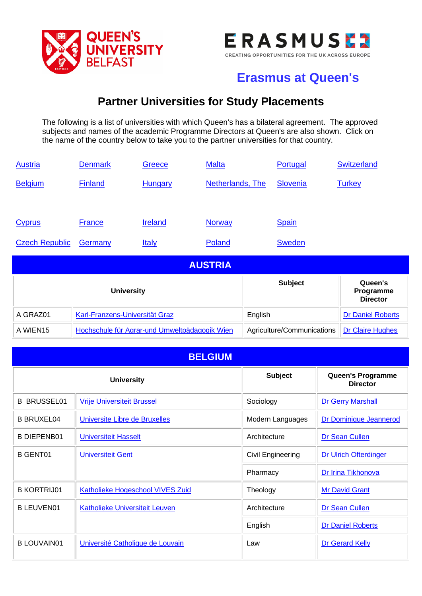



## **Erasmus at Queen's**

## **Partner Universities for Study Placements**

The following is a list of universities with which Queen's has a bilateral agreement. The approved subjects and names of the academic Programme Directors at Queen's are also shown. Click on the name of the country below to take you to the partner universities for that country.

| <b>Austria</b>        | <b>Denmark</b>                 | Greece                                        | <b>Malta</b>     |         | Portugal                   | <b>Switzerland</b>                      |
|-----------------------|--------------------------------|-----------------------------------------------|------------------|---------|----------------------------|-----------------------------------------|
| <b>Belgium</b>        | <b>Finland</b>                 | <b>Hungary</b>                                | Netherlands, The |         | Slovenia                   | <b>Turkey</b>                           |
|                       |                                |                                               |                  |         |                            |                                         |
| <b>Cyprus</b>         | <b>France</b>                  | Ireland                                       | <b>Norway</b>    |         | <b>Spain</b>               |                                         |
| <b>Czech Republic</b> | Germany                        | <b>Italy</b>                                  | Poland           |         | <b>Sweden</b>              |                                         |
|                       |                                |                                               | <b>AUSTRIA</b>   |         |                            |                                         |
|                       | <b>University</b>              |                                               |                  |         | <b>Subject</b>             | Queen's<br>Programme<br><b>Director</b> |
| A GRAZ01              | Karl-Franzens-Universität Graz |                                               |                  | English |                            | Dr Daniel Roberts                       |
| A WIEN15              |                                | Hochschule für Agrar-und Umweltpädagogik Wien |                  |         | Agriculture/Communications | Dr Claire Hughes                        |

<span id="page-0-1"></span><span id="page-0-0"></span>

| <b>BELGIUM</b>     |                                       |                   |                                      |
|--------------------|---------------------------------------|-------------------|--------------------------------------|
| <b>University</b>  |                                       | <b>Subject</b>    | Queen's Programme<br><b>Director</b> |
| <b>B BRUSSEL01</b> | <b>Vrije Universiteit Brussel</b>     | Sociology         | <b>Dr Gerry Marshall</b>             |
| <b>B BRUXEL04</b>  | Universite Libre de Bruxelles         | Modern Languages  | Dr Dominique Jeannerod               |
| <b>B DIEPENB01</b> | <b>Universiteit Hasselt</b>           | Architecture      | Dr Sean Cullen                       |
| <b>B GENT01</b>    | <b>Universiteit Gent</b>              | Civil Engineering | Dr Ulrich Ofterdinger                |
|                    |                                       | Pharmacy          | Dr Irina Tikhonova                   |
| <b>B KORTRIJ01</b> | Katholieke Hogeschool VIVES Zuid      | Theology          | <b>Mr David Grant</b>                |
| <b>B LEUVEN01</b>  | <b>Katholieke Universiteit Leuven</b> | Architecture      | Dr Sean Cullen                       |
|                    |                                       | English           | <b>Dr Daniel Roberts</b>             |
| <b>B LOUVAIN01</b> | Université Catholique de Louvain      | Law               | <b>Dr Gerard Kelly</b>               |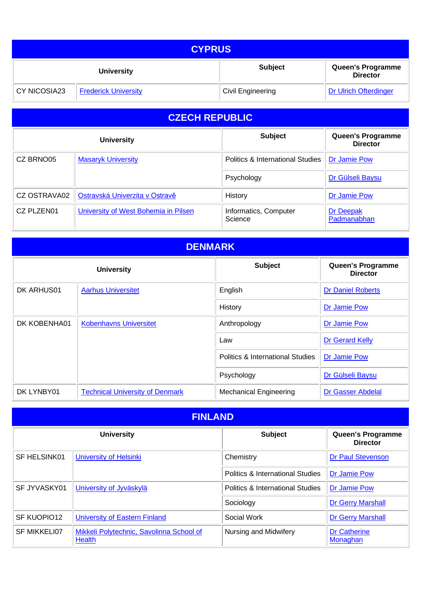| <b>CYPRUS</b>       |                             |                          |                                             |
|---------------------|-----------------------------|--------------------------|---------------------------------------------|
|                     | <b>University</b>           | <b>Subject</b>           | <b>Queen's Programme</b><br><b>Director</b> |
| <b>CY NICOSIA23</b> | <b>Frederick University</b> | <b>Civil Engineering</b> | <b>Dr Ulrich Ofterdinger</b>                |

## <span id="page-1-2"></span>**CZECH REPUBLIC**

**CZECH REPUB**

<span id="page-1-3"></span>

|              | <b>University</b>                    | <b>Subject</b>                              | <b>Queen's Programme</b><br><b>Director</b> |
|--------------|--------------------------------------|---------------------------------------------|---------------------------------------------|
| CZ BRNO05    | <b>Masaryk University</b>            | <b>Politics &amp; International Studies</b> | Dr Jamie Pow                                |
|              |                                      | Psychology                                  | Dr Gülseli Baysu                            |
| CZ OSTRAVA02 | Ostravská Univerzita v Ostravě       | History                                     | Dr Jamie Pow                                |
| CZ PLZEN01   | University of West Bohemia in Pilsen | Informatics, Computer<br>Science            | Dr Deepak<br>Padmanabhan                    |

<span id="page-1-0"></span>

| <b>DENMARK</b>                      |                                        |                                             |                                      |
|-------------------------------------|----------------------------------------|---------------------------------------------|--------------------------------------|
| <b>Subject</b><br><b>University</b> |                                        |                                             | Queen's Programme<br><b>Director</b> |
| DK ARHUS01                          | <b>Aarhus Universitet</b>              | English                                     | <b>Dr Daniel Roberts</b>             |
|                                     |                                        | History                                     | Dr Jamie Pow                         |
| DK KOBENHA01                        | <b>Kobenhavns Universitet</b>          | Anthropology                                | Dr Jamie Pow                         |
|                                     |                                        | Law                                         | <b>Dr Gerard Kelly</b>               |
|                                     |                                        | <b>Politics &amp; International Studies</b> | Dr Jamie Pow                         |
|                                     |                                        | Psychology                                  | Dr Gülseli Baysu                     |
| DK LYNBY01                          | <b>Technical University of Denmark</b> | <b>Mechanical Engineering</b>               | Dr Gasser Abdelal                    |

<span id="page-1-1"></span>

| <b>FINLAND</b> |                                                    |                                             |                                      |
|----------------|----------------------------------------------------|---------------------------------------------|--------------------------------------|
|                | <b>University</b>                                  | <b>Subject</b>                              | Queen's Programme<br><b>Director</b> |
| SF HELSINK01   | University of Helsinki                             | Chemistry                                   | <b>Dr Paul Stevenson</b>             |
|                |                                                    | <b>Politics &amp; International Studies</b> | Dr Jamie Pow                         |
| SF JYVASKY01   | University of Jyväskylä                            | <b>Politics &amp; International Studies</b> | Dr Jamie Pow                         |
|                |                                                    | Sociology                                   | <b>Dr Gerry Marshall</b>             |
| SF KUOPIO12    | <b>University of Eastern Finland</b>               | Social Work                                 | <b>Dr Gerry Marshall</b>             |
| SF MIKKELI07   | Mikkeli Polytechnic, Savolinna School of<br>Health | Nursing and Midwifery                       | <b>Dr Catherine</b><br>Monaghan      |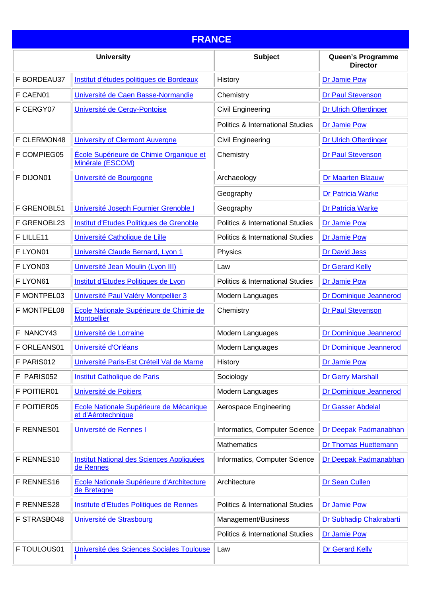<span id="page-2-0"></span>

| <b>FRANCE</b> |                                                               |                                             |                                      |
|---------------|---------------------------------------------------------------|---------------------------------------------|--------------------------------------|
|               | <b>University</b>                                             | <b>Subject</b>                              | Queen's Programme<br><b>Director</b> |
| F BORDEAU37   | Institut d'études politiques de Bordeaux                      | History                                     | Dr Jamie Pow                         |
| F CAEN01      | Université de Caen Basse-Normandie                            | Chemistry                                   | <b>Dr Paul Stevenson</b>             |
| F CERGY07     | Université de Cergy-Pontoise                                  | <b>Civil Engineering</b>                    | <b>Dr Ulrich Ofterdinger</b>         |
|               |                                                               | Politics & International Studies            | <b>Dr Jamie Pow</b>                  |
| F CLERMON48   | <b>University of Clermont Auvergne</b>                        | Civil Engineering                           | <b>Dr Ulrich Ofterdinger</b>         |
| F COMPIEG05   | École Supérieure de Chimie Organique et<br>Minérale (ESCOM)   | Chemistry                                   | <b>Dr Paul Stevenson</b>             |
| F DIJON01     | Université de Bourgogne                                       | Archaeology                                 | <b>Dr Maarten Blaauw</b>             |
|               |                                                               | Geography                                   | <b>Dr Patricia Warke</b>             |
| F GRENOBL51   | Université Joseph Fournier Grenoble I                         | Geography                                   | <b>Dr Patricia Warke</b>             |
| F GRENOBL23   | Institut d'Etudes Politiques de Grenoble                      | <b>Politics &amp; International Studies</b> | Dr Jamie Pow                         |
| F LILLE11     | Université Catholique de Lille                                | <b>Politics &amp; International Studies</b> | Dr Jamie Pow                         |
| F LYON01      | Université Claude Bernard, Lyon 1                             | Physics                                     | <b>Dr David Jess</b>                 |
| F LYON03      | Université Jean Moulin (Lyon III)                             | Law                                         | Dr Gerard Kelly                      |
| F LYON61      | Institut d'Etudes Politiques de Lyon                          | <b>Politics &amp; International Studies</b> | <b>Dr Jamie Pow</b>                  |
| F MONTPEL03   | Université Paul Valéry Montpellier 3                          | Modern Languages                            | Dr Dominique Jeannerod               |
| F MONTPEL08   | Ecole Nationale Supérieure de Chimie de<br><b>Montpellier</b> | Chemistry                                   | <b>Dr Paul Stevenson</b>             |
| F NANCY43     | Université de Lorraine                                        | Modern Languages                            | Dr Dominique Jeannerod               |
| F ORLEANS01   | Université d'Orléans                                          | Modern Languages                            | Dr Dominique Jeannerod               |
| F PARIS012    | Université Paris-Est Créteil Val de Marne                     | History                                     | Dr Jamie Pow                         |
| F PARIS052    | Institut Catholique de Paris                                  | Sociology                                   | <b>Dr Gerry Marshall</b>             |
| F POITIER01   | Université de Poitiers                                        | Modern Languages                            | Dr Dominique Jeannerod               |
| F POITIER05   | Ecole Nationale Supérieure de Mécanique<br>et d'Aérotechnique | Aerospace Engineering                       | Dr Gasser Abdelal                    |
| F RENNES01    | Université de Rennes I                                        | Informatics, Computer Science               | Dr Deepak Padmanabhan                |
|               |                                                               | <b>Mathematics</b>                          | Dr Thomas Huettemann                 |
| F RENNES10    | Institut National des Sciences Appliquées<br>de Rennes        | Informatics, Computer Science               | Dr Deepak Padmanabhan                |
| F RENNES16    | Ecole Nationale Supérieure d'Architecture<br>de Bretagne      | Architecture                                | Dr Sean Cullen                       |
| F RENNES28    | Institute d'Etudes Politiques de Rennes                       | <b>Politics &amp; International Studies</b> | Dr Jamie Pow                         |
| F STRASBO48   | Université de Strasbourg                                      | Management/Business                         | Dr Subhadip Chakrabarti              |
|               |                                                               | <b>Politics &amp; International Studies</b> | <b>Dr Jamie Pow</b>                  |
| F TOULOUS01   | Université des Sciences Sociales Toulouse                     | Law                                         | Dr Gerard Kelly                      |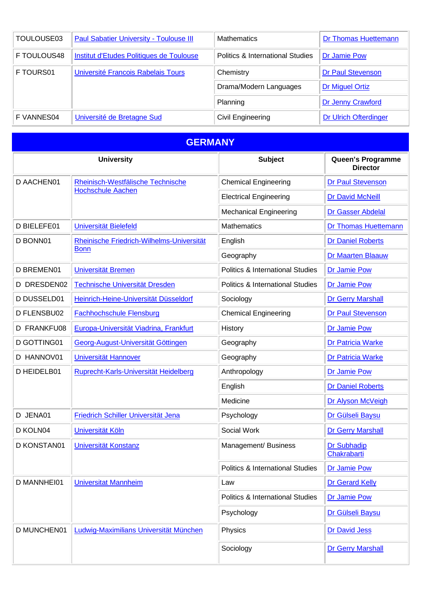| TOULOUSE03  | <b>Paul Sabatier University - Toulouse III</b> | <b>Mathematics</b>               | <b>Dr Thomas Huettemann</b>  |
|-------------|------------------------------------------------|----------------------------------|------------------------------|
| F TOULOUS48 | Institut d'Etudes Politiques de Toulouse       | Politics & International Studies | Dr Jamie Pow                 |
| F TOURS01   | Université Francois Rabelais Tours             | Chemistry                        | <b>Dr Paul Stevenson</b>     |
|             |                                                | Drama/Modern Languages           | <b>Dr Miguel Ortiz</b>       |
|             |                                                | Planning                         | Dr Jenny Crawford            |
| F VANNES04  | Université de Bretagne Sud                     | Civil Engineering                | <b>Dr Ulrich Ofterdinger</b> |

<span id="page-3-0"></span>

| <b>GERMANY</b>     |                                           |                                             |                                      |
|--------------------|-------------------------------------------|---------------------------------------------|--------------------------------------|
|                    | <b>University</b>                         | <b>Subject</b>                              | Queen's Programme<br><b>Director</b> |
| <b>D AACHEN01</b>  | Rheinisch-Westfälische Technische         | <b>Chemical Engineering</b>                 | <b>Dr Paul Stevenson</b>             |
|                    | <b>Hochschule Aachen</b>                  | <b>Electrical Engineering</b>               | Dr David McNeill                     |
|                    |                                           | <b>Mechanical Engineering</b>               | Dr Gasser Abdelal                    |
| D BIELEFE01        | Universität Bielefeld                     | <b>Mathematics</b>                          | <b>Dr Thomas Huettemann</b>          |
| D BONN01           | Rheinische Friedrich-Wilhelms-Universität | English                                     | <b>Dr Daniel Roberts</b>             |
|                    | <b>Bonn</b>                               | Geography                                   | <b>Dr Maarten Blaauw</b>             |
| <b>D BREMEN01</b>  | Universität Bremen                        | <b>Politics &amp; International Studies</b> | <b>Dr Jamie Pow</b>                  |
| D DRESDEN02        | Technische Universität Dresden            | <b>Politics &amp; International Studies</b> | Dr Jamie Pow                         |
| D DUSSELD01        | Heinrich-Heine-Universität Düsseldorf     | Sociology                                   | <b>Dr Gerry Marshall</b>             |
| D FLENSBU02        | <b>Fachhochschule Flensburg</b>           | <b>Chemical Engineering</b>                 | <b>Dr Paul Stevenson</b>             |
| <b>D FRANKFU08</b> | Europa-Universität Viadrina, Frankfurt    | History                                     | <b>Dr Jamie Pow</b>                  |
| D GOTTING01        | Georg-August-Universität Göttingen        | Geography                                   | <b>Dr Patricia Warke</b>             |
| D HANNOV01         | Universität Hannover                      | Geography                                   | <b>Dr Patricia Warke</b>             |
| D HEIDELB01        | Ruprecht-Karls-Universität Heidelberg     | Anthropology                                | <b>Dr Jamie Pow</b>                  |
|                    |                                           | English                                     | <b>Dr Daniel Roberts</b>             |
|                    |                                           | Medicine                                    | Dr Alyson McVeigh                    |
| D JENA01           | Friedrich Schiller Universität Jena       | Psychology                                  | Dr Gülseli Baysu                     |
| D KOLN04           | Universität Köln                          | Social Work                                 | <b>Dr Gerry Marshall</b>             |
| D KONSTAN01        | Universität Konstanz                      | Management/ Business                        | Dr Subhadip<br>Chakrabarti           |
|                    |                                           | <b>Politics &amp; International Studies</b> | Dr Jamie Pow                         |
| D MANNHEI01        | <b>Universitat Mannheim</b>               | Law                                         | <b>Dr Gerard Kelly</b>               |
|                    |                                           | <b>Politics &amp; International Studies</b> | Dr Jamie Pow                         |
|                    |                                           | Psychology                                  | Dr Gülseli Baysu                     |
| <b>D MUNCHEN01</b> | Ludwig-Maximilians Universität München    | Physics                                     | <b>Dr David Jess</b>                 |
|                    |                                           | Sociology                                   | <b>Dr Gerry Marshall</b>             |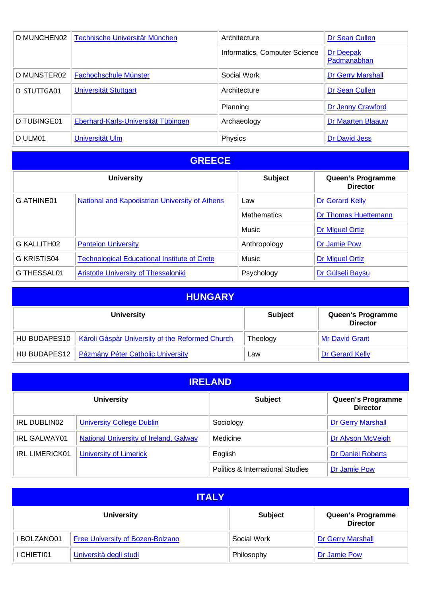| D MUNCHEN02 | Technische Universität München             | Architecture                  | Dr Sean Cullen                  |
|-------------|--------------------------------------------|-------------------------------|---------------------------------|
|             |                                            | Informatics, Computer Science | <b>Dr Deepak</b><br>Padmanabhan |
| D MUNSTER02 | Fachochschule Münster                      | Social Work                   | <b>Dr Gerry Marshall</b>        |
| D STUTTGA01 | Universität Stuttgart                      | Architecture                  | Dr Sean Cullen                  |
|             |                                            | Planning                      | Dr Jenny Crawford               |
| D TUBINGE01 | <b>Eberhard-Karls-Universität Tübingen</b> | Archaeology                   | <b>Dr Maarten Blaauw</b>        |
| D ULM01     | Universität Ulm                            | Physics                       | <b>Dr David Jess</b>            |

<span id="page-4-0"></span>

|                         | <b>University</b>                                     | <b>Subject</b>     | Queen's Programme<br><b>Director</b> |
|-------------------------|-------------------------------------------------------|--------------------|--------------------------------------|
| G ATHINE01              | <b>National and Kapodistrian University of Athens</b> | Law                | Dr Gerard Kelly                      |
|                         |                                                       | <b>Mathematics</b> | <b>Dr Thomas Huettemann</b>          |
|                         |                                                       | Music              | <b>Dr Miguel Ortiz</b>               |
| G KALLITH <sub>02</sub> | <b>Panteion University</b>                            | Anthropology       | Dr Jamie Pow                         |
| G KRISTIS04             | <b>Technological Educational Institute of Crete</b>   | Music              | <b>Dr Miguel Ortiz</b>               |
| G THESSAL01             | Aristotle University of Thessaloniki                  | Psychology         | Dr Gülseli Baysu                     |

<span id="page-4-1"></span>

| <b>HUNGARY</b> |                                                 |                |                                      |
|----------------|-------------------------------------------------|----------------|--------------------------------------|
|                | <b>University</b>                               | <b>Subject</b> | Queen's Programme<br><b>Director</b> |
| HU BUDAPES10   | Károli Gáspàr University of the Reformed Church | Theology       | <b>Mr David Grant</b>                |
| HU BUDAPES12   | <b>Pázmány Péter Catholic University</b>        | Law            | Dr Gerard Kelly                      |

<span id="page-4-2"></span>

| <b>IRELAND</b>        |                                               |                                             |                                      |
|-----------------------|-----------------------------------------------|---------------------------------------------|--------------------------------------|
|                       | <b>University</b>                             | <b>Subject</b>                              | Queen's Programme<br><b>Director</b> |
| IRL DUBLIN02          | <b>University College Dublin</b>              | Sociology                                   | <b>Dr Gerry Marshall</b>             |
| <b>IRL GALWAY01</b>   | <b>National University of Ireland, Galway</b> | Medicine                                    | Dr Alyson McVeigh                    |
| <b>IRL LIMERICK01</b> | <b>University of Limerick</b>                 | English                                     | <b>Dr Daniel Roberts</b>             |
|                       |                                               | <b>Politics &amp; International Studies</b> | Dr Jamie Pow                         |

<span id="page-4-3"></span>

| <b>ITALY</b>                                                                |                                  |             |                          |
|-----------------------------------------------------------------------------|----------------------------------|-------------|--------------------------|
| Queen's Programme<br><b>University</b><br><b>Subject</b><br><b>Director</b> |                                  |             |                          |
| I BOLZANO01                                                                 | Free University of Bozen-Bolzano | Social Work | <b>Dr Gerry Marshall</b> |
| I CHIETI01                                                                  | Università degli studi           | Philosophy  | Dr Jamie Pow             |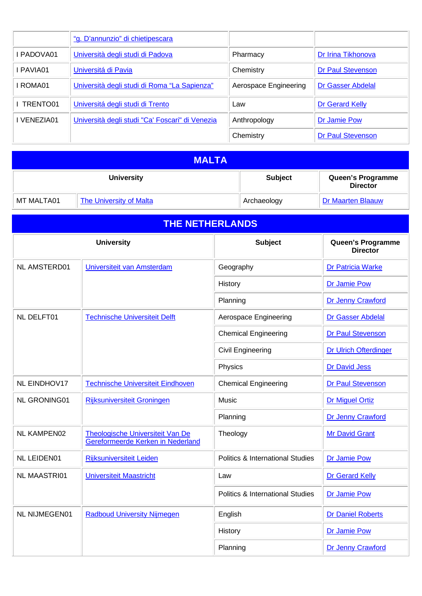|             | "g. D'annunzio" di chietipescara                |                       |                          |
|-------------|-------------------------------------------------|-----------------------|--------------------------|
| I PADOVA01  | Università degli studi di Padova                | Pharmacy              | Dr Irina Tikhonova       |
| I PAVIA01   | Universitá di Pavia                             | Chemistry             | <b>Dr Paul Stevenson</b> |
| I ROMA01    | Università degli studi di Roma "La Sapienza"    | Aerospace Engineering | Dr Gasser Abdelal        |
| TRENTO01    | Universitá degli studi di Trento                | Law                   | Dr Gerard Kelly          |
| I VENEZIA01 | Università degli studi "Ca' Foscari" di Venezia | Anthropology          | Dr Jamie Pow             |
|             |                                                 | Chemistry             | <b>Dr Paul Stevenson</b> |

<span id="page-5-0"></span>

| <b>MALTA</b> |                                |                |                                      |
|--------------|--------------------------------|----------------|--------------------------------------|
|              | <b>University</b>              | <b>Subject</b> | Queen's Programme<br><b>Director</b> |
| MT MALTA01   | <b>The University of Malta</b> | Archaeology    | <b>Dr Maarten Blaauw</b>             |

<span id="page-5-1"></span>

| <b>THE NETHERLANDS</b> |                                                                       |                                             |                                      |
|------------------------|-----------------------------------------------------------------------|---------------------------------------------|--------------------------------------|
|                        | <b>University</b>                                                     | <b>Subject</b>                              | Queen's Programme<br><b>Director</b> |
| <b>NL AMSTERD01</b>    | Universiteit van Amsterdam                                            | Geography                                   | Dr Patricia Warke                    |
|                        |                                                                       | History                                     | Dr Jamie Pow                         |
|                        |                                                                       | Planning                                    | Dr Jenny Crawford                    |
| <b>NL DELFT01</b>      | <b>Technische Universiteit Delft</b>                                  | Aerospace Engineering                       | <b>Dr Gasser Abdelal</b>             |
|                        |                                                                       | <b>Chemical Engineering</b>                 | Dr Paul Stevenson                    |
|                        |                                                                       | <b>Civil Engineering</b>                    | Dr Ulrich Ofterdinger                |
|                        |                                                                       | Physics                                     | <b>Dr David Jess</b>                 |
| <b>NL EINDHOV17</b>    | <b>Technische Universiteit Eindhoven</b>                              | <b>Chemical Engineering</b>                 | <b>Dr Paul Stevenson</b>             |
| <b>NL GRONING01</b>    | <b>Rijksuniversiteit Groningen</b>                                    | Music                                       | <b>Dr Miguel Ortiz</b>               |
|                        |                                                                       | Planning                                    | Dr Jenny Crawford                    |
| <b>NL KAMPEN02</b>     | Theologische Universiteit Van De<br>Gereformeerde Kerken in Nederland | Theology                                    | <b>Mr David Grant</b>                |
| <b>NL LEIDEN01</b>     | <b>Rijksuniversiteit Leiden</b>                                       | <b>Politics &amp; International Studies</b> | Dr Jamie Pow                         |
| <b>NL MAASTRI01</b>    | <b>Universiteit Maastricht</b>                                        | Law                                         | <b>Dr Gerard Kelly</b>               |
|                        |                                                                       | <b>Politics &amp; International Studies</b> | Dr Jamie Pow                         |
| <b>NL NIJMEGEN01</b>   | <b>Radboud University Nijmegen</b>                                    | English                                     | <b>Dr Daniel Roberts</b>             |
|                        |                                                                       | History                                     | Dr Jamie Pow                         |
|                        |                                                                       | Planning                                    | Dr Jenny Crawford                    |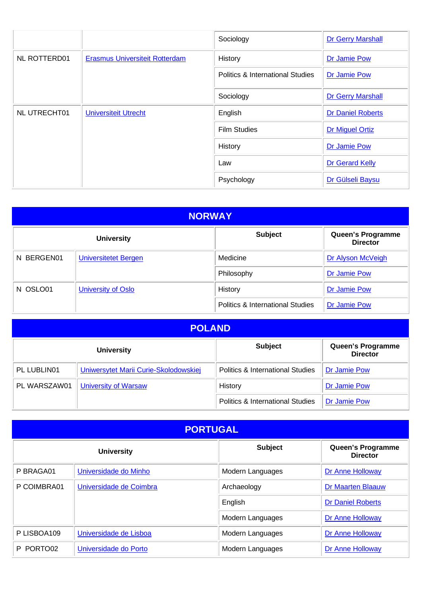|                     |                                       | Sociology                                   | <b>Dr Gerry Marshall</b> |
|---------------------|---------------------------------------|---------------------------------------------|--------------------------|
| <b>NL ROTTERD01</b> | <b>Erasmus Universiteit Rotterdam</b> | History                                     | Dr Jamie Pow             |
|                     |                                       | <b>Politics &amp; International Studies</b> | Dr Jamie Pow             |
|                     |                                       | Sociology                                   | <b>Dr Gerry Marshall</b> |
| NL UTRECHT01        | <b>Universiteit Utrecht</b>           | English                                     | <b>Dr Daniel Roberts</b> |
|                     |                                       | <b>Film Studies</b>                         | Dr Miguel Ortiz          |
|                     |                                       | History                                     | Dr Jamie Pow             |
|                     |                                       | Law                                         | Dr Gerard Kelly          |
|                     |                                       | Psychology                                  | Dr Gülseli Baysu         |

<span id="page-6-1"></span>

| <b>NORWAY</b>                                                               |                             |                                             |                   |  |
|-----------------------------------------------------------------------------|-----------------------------|---------------------------------------------|-------------------|--|
| <b>Subject</b><br>Queen's Programme<br><b>University</b><br><b>Director</b> |                             |                                             |                   |  |
| BERGEN01<br>N                                                               | <b>Universitetet Bergen</b> | Medicine                                    | Dr Alyson McVeigh |  |
|                                                                             |                             | Philosophy                                  | Dr Jamie Pow      |  |
| N OSLO01                                                                    | University of Oslo          | History                                     | Dr Jamie Pow      |  |
|                                                                             |                             | <b>Politics &amp; International Studies</b> | Dr Jamie Pow      |  |

<span id="page-6-2"></span>

| <b>POLAND</b> |                                       |                                             |                                      |
|---------------|---------------------------------------|---------------------------------------------|--------------------------------------|
|               | <b>University</b>                     | <b>Subject</b>                              | Queen's Programme<br><b>Director</b> |
| PL LUBLIN01   | Uniwersytet Marii Curie-Skolodowskiej | <b>Politics &amp; International Studies</b> | <b>Dr Jamie Pow</b>                  |
| PL WARSZAW01  | <b>University of Warsaw</b>           | History                                     | Dr Jamie Pow                         |
|               |                                       | <b>Politics &amp; International Studies</b> | <b>Dr Jamie Pow</b>                  |

<span id="page-6-0"></span>

| <b>PORTUGAL</b>                                                             |                         |                  |                          |  |
|-----------------------------------------------------------------------------|-------------------------|------------------|--------------------------|--|
| <b>Subject</b><br>Queen's Programme<br><b>University</b><br><b>Director</b> |                         |                  |                          |  |
| P BRAGA01                                                                   | Universidade do Minho   | Modern Languages | Dr Anne Holloway         |  |
| P COIMBRA01                                                                 | Universidade de Coimbra | Archaeology      | <b>Dr Maarten Blaauw</b> |  |
|                                                                             |                         | English          | <b>Dr Daniel Roberts</b> |  |
|                                                                             |                         | Modern Languages | Dr Anne Holloway         |  |
| P LISBOA109                                                                 | Universidade de Lisboa  | Modern Languages | Dr Anne Holloway         |  |
| PORTO02<br>P.                                                               | Universidade do Porto   | Modern Languages | Dr Anne Holloway         |  |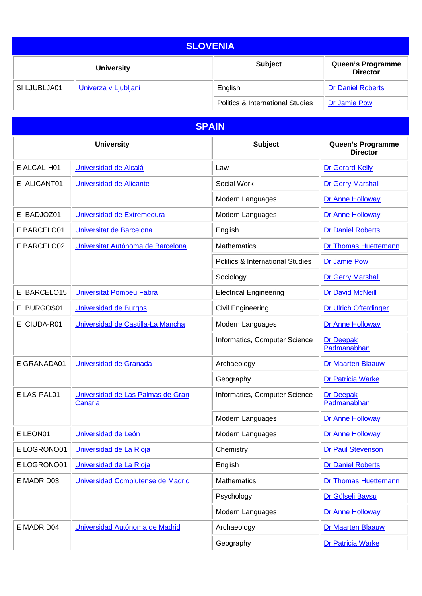<span id="page-7-0"></span>

| <b>SLOVENIA</b> |                      |                                             |                                             |
|-----------------|----------------------|---------------------------------------------|---------------------------------------------|
|                 | <b>University</b>    | <b>Subject</b>                              | <b>Queen's Programme</b><br><b>Director</b> |
| SI LJUBLJA01    | Univerza v Ljubljani | English                                     | <b>Dr Daniel Roberts</b>                    |
|                 |                      | <b>Politics &amp; International Studies</b> | Dr Jamie Pow                                |

<span id="page-7-1"></span>

| <b>SPAIN</b>    |                                              |                                             |                                      |
|-----------------|----------------------------------------------|---------------------------------------------|--------------------------------------|
|                 | <b>University</b>                            | <b>Subject</b>                              | Queen's Programme<br><b>Director</b> |
| E ALCAL-H01     | Universidad de Alcalá                        | Law                                         | <b>Dr Gerard Kelly</b>               |
| E ALICANT01     | Universidad de Alicante                      | Social Work                                 | <b>Dr Gerry Marshall</b>             |
|                 |                                              | Modern Languages                            | Dr Anne Holloway                     |
| E BADJOZ01      | Universidad de Extremedura                   | Modern Languages                            | Dr Anne Holloway                     |
| E BARCELO01     | Universitat de Barcelona                     | English                                     | <b>Dr Daniel Roberts</b>             |
| E BARCELO02     | Universitat Autònoma de Barcelona            | <b>Mathematics</b>                          | <b>Dr Thomas Huettemann</b>          |
|                 |                                              | <b>Politics &amp; International Studies</b> | <b>Dr Jamie Pow</b>                  |
|                 |                                              | Sociology                                   | <b>Dr Gerry Marshall</b>             |
| BARCELO15<br>E. | <b>Universitat Pompeu Fabra</b>              | <b>Electrical Engineering</b>               | <b>Dr David McNeill</b>              |
| E BURGOS01      | <b>Universidad de Burgos</b>                 | Civil Engineering                           | <b>Dr Ulrich Ofterdinger</b>         |
| E CIUDA-R01     | Universidad de Castilla-La Mancha            | Modern Languages                            | Dr Anne Holloway                     |
|                 |                                              | Informatics, Computer Science               | <b>Dr Deepak</b><br>Padmanabhan      |
| E GRANADA01     | Universidad de Granada                       | Archaeology                                 | <b>Dr Maarten Blaauw</b>             |
|                 |                                              | Geography                                   | <b>Dr Patricia Warke</b>             |
| E LAS-PAL01     | Universidad de Las Palmas de Gran<br>Canaria | Informatics, Computer Science               | <b>Dr Deepak</b><br>Padmanabhan      |
|                 |                                              | Modern Languages                            | Dr Anne Holloway                     |
| E LEON01        | Universidad de León                          | Modern Languages                            | Dr Anne Holloway                     |
| E LOGRONO01     | Universidad de La Rioja                      | Chemistry                                   | Dr Paul Stevenson                    |
| E LOGRONO01     | Universidad de La Rioja                      | English                                     | <b>Dr Daniel Roberts</b>             |
| E MADRID03      | Universidad Complutense de Madrid            | Mathematics                                 | Dr Thomas Huettemann                 |
|                 |                                              | Psychology                                  | Dr Gülseli Baysu                     |
|                 |                                              | Modern Languages                            | Dr Anne Holloway                     |
| E MADRID04      | Universidad Autónoma de Madrid               | Archaeology                                 | <b>Dr Maarten Blaauw</b>             |
|                 |                                              | Geography                                   | Dr Patricia Warke                    |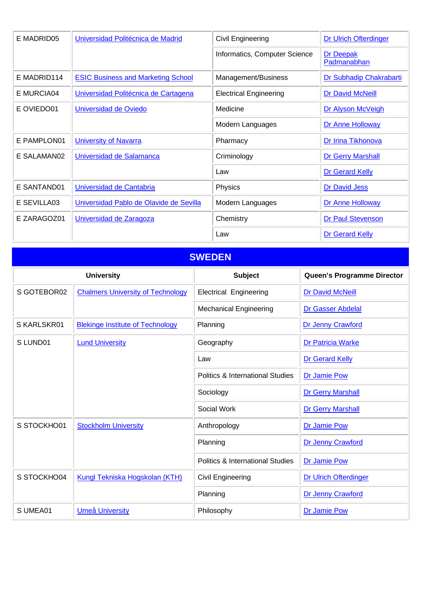| E MADRID05  | Universidad Politécnica de Madrid         | Civil Engineering             | <b>Dr Ulrich Ofterdinger</b> |
|-------------|-------------------------------------------|-------------------------------|------------------------------|
|             |                                           | Informatics, Computer Science | Dr Deepak<br>Padmanabhan     |
| E MADRID114 | <b>ESIC Business and Marketing School</b> | Management/Business           | Dr Subhadip Chakrabarti      |
| E MURCIA04  | Universidad Politécnica de Cartagena      | <b>Electrical Engineering</b> | <b>Dr David McNeill</b>      |
| E OVIEDO01  | Universidad de Oviedo                     | Medicine                      | Dr Alyson McVeigh            |
|             |                                           | Modern Languages              | Dr Anne Holloway             |
| E PAMPLON01 | <b>University of Navarra</b>              | Pharmacy                      | Dr Irina Tikhonova           |
| E SALAMAN02 | Universidad de Salamanca                  | Criminology                   | <b>Dr Gerry Marshall</b>     |
|             |                                           | Law                           | Dr Gerard Kelly              |
| E SANTAND01 | Universidad de Cantabria                  | Physics                       | <b>Dr David Jess</b>         |
| E SEVILLA03 | Universidad Pablo de Olavide de Sevilla   | Modern Languages              | Dr Anne Holloway             |
| E ZARAGOZ01 | Universidad de Zaragoza                   | Chemistry                     | <b>Dr Paul Stevenson</b>     |
|             |                                           | Law                           | Dr Gerard Kelly              |

<span id="page-8-0"></span>

| <b>SWEDEN</b>     |                                          |                                             |                              |  |  |  |
|-------------------|------------------------------------------|---------------------------------------------|------------------------------|--|--|--|
| <b>University</b> |                                          | <b>Subject</b>                              | Queen's Programme Director   |  |  |  |
| S GOTEBOR02       | <b>Chalmers University of Technology</b> | <b>Electrical Engineering</b>               | <b>Dr David McNeill</b>      |  |  |  |
|                   |                                          | <b>Mechanical Engineering</b>               | Dr Gasser Abdelal            |  |  |  |
| S KARLSKR01       | <b>Blekinge Institute of Technology</b>  | Planning                                    | Dr Jenny Crawford            |  |  |  |
| S LUND01          | <b>Lund University</b>                   | Geography                                   | Dr Patricia Warke            |  |  |  |
|                   |                                          | Law                                         | Dr Gerard Kelly              |  |  |  |
|                   |                                          | <b>Politics &amp; International Studies</b> | Dr Jamie Pow                 |  |  |  |
|                   |                                          | Sociology                                   | <b>Dr Gerry Marshall</b>     |  |  |  |
|                   |                                          | Social Work                                 | <b>Dr Gerry Marshall</b>     |  |  |  |
| S STOCKHO01       | <b>Stockholm University</b>              | Anthropology                                | <b>Dr Jamie Pow</b>          |  |  |  |
|                   |                                          | Planning                                    | Dr Jenny Crawford            |  |  |  |
|                   |                                          | <b>Politics &amp; International Studies</b> | Dr Jamie Pow                 |  |  |  |
| S STOCKHO04       | Kungl Tekniska Hogskolan (KTH)           | Civil Engineering                           | <b>Dr Ulrich Ofterdinger</b> |  |  |  |
|                   |                                          | Planning                                    | Dr Jenny Crawford            |  |  |  |
| S UMEA01          | <b>Umeå University</b>                   | Philosophy                                  | Dr Jamie Pow                 |  |  |  |